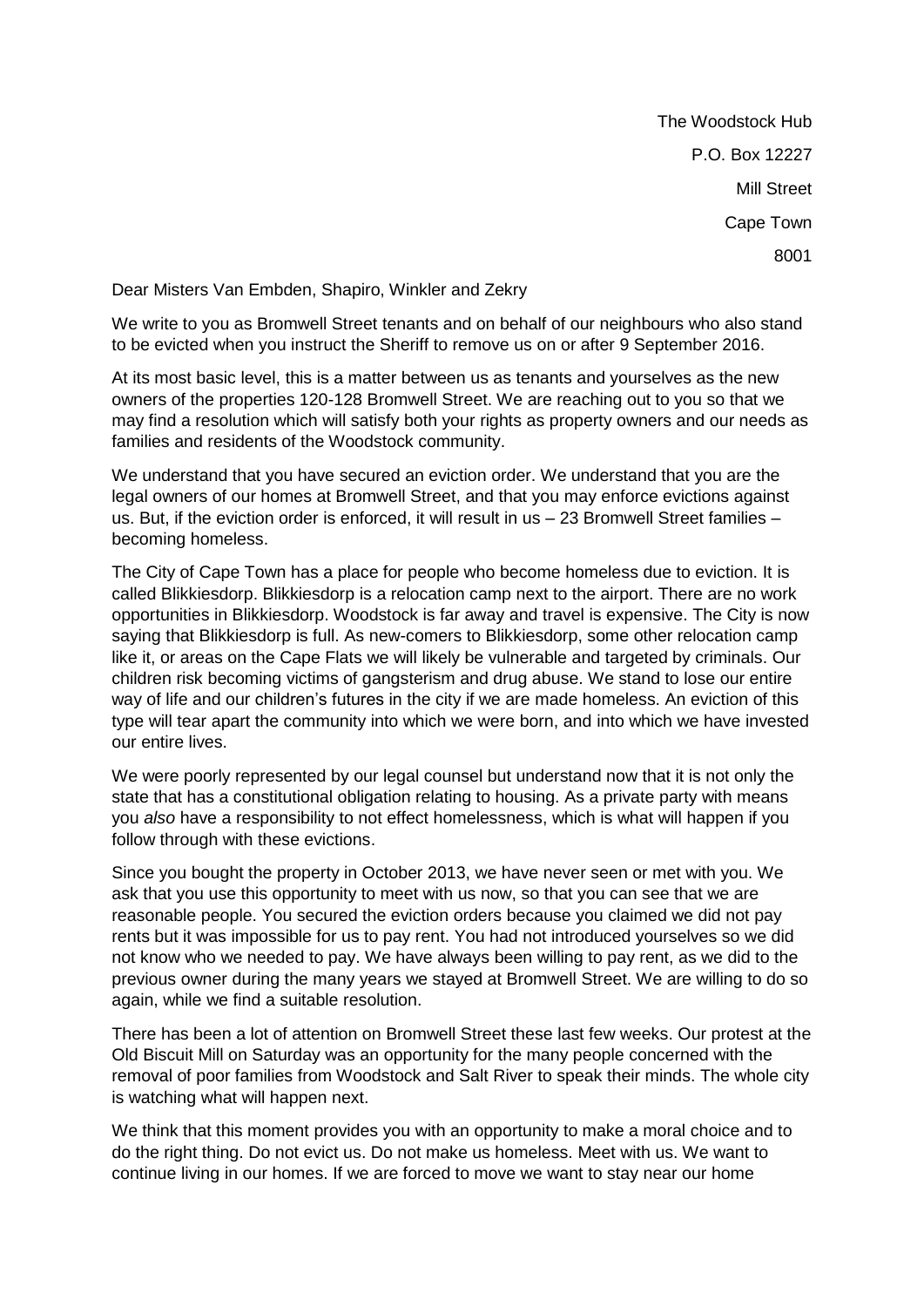The Woodstock Hub P.O. Box 12227 Mill Street Cape Town 8001

Dear Misters Van Embden, Shapiro, Winkler and Zekry

We write to you as Bromwell Street tenants and on behalf of our neighbours who also stand to be evicted when you instruct the Sheriff to remove us on or after 9 September 2016.

At its most basic level, this is a matter between us as tenants and yourselves as the new owners of the properties 120-128 Bromwell Street. We are reaching out to you so that we may find a resolution which will satisfy both your rights as property owners and our needs as families and residents of the Woodstock community.

We understand that you have secured an eviction order. We understand that you are the legal owners of our homes at Bromwell Street, and that you may enforce evictions against us. But, if the eviction order is enforced, it will result in us – 23 Bromwell Street families – becoming homeless.

The City of Cape Town has a place for people who become homeless due to eviction. It is called Blikkiesdorp. Blikkiesdorp is a relocation camp next to the airport. There are no work opportunities in Blikkiesdorp. Woodstock is far away and travel is expensive. The City is now saying that Blikkiesdorp is full. As new-comers to Blikkiesdorp, some other relocation camp like it, or areas on the Cape Flats we will likely be vulnerable and targeted by criminals. Our children risk becoming victims of gangsterism and drug abuse. We stand to lose our entire way of life and our children's futures in the city if we are made homeless. An eviction of this type will tear apart the community into which we were born, and into which we have invested our entire lives.

We were poorly represented by our legal counsel but understand now that it is not only the state that has a constitutional obligation relating to housing. As a private party with means you *also* have a responsibility to not effect homelessness, which is what will happen if you follow through with these evictions.

Since you bought the property in October 2013, we have never seen or met with you. We ask that you use this opportunity to meet with us now, so that you can see that we are reasonable people. You secured the eviction orders because you claimed we did not pay rents but it was impossible for us to pay rent. You had not introduced yourselves so we did not know who we needed to pay. We have always been willing to pay rent, as we did to the previous owner during the many years we stayed at Bromwell Street. We are willing to do so again, while we find a suitable resolution.

There has been a lot of attention on Bromwell Street these last few weeks. Our protest at the Old Biscuit Mill on Saturday was an opportunity for the many people concerned with the removal of poor families from Woodstock and Salt River to speak their minds. The whole city is watching what will happen next.

We think that this moment provides you with an opportunity to make a moral choice and to do the right thing. Do not evict us. Do not make us homeless. Meet with us. We want to continue living in our homes. If we are forced to move we want to stay near our home